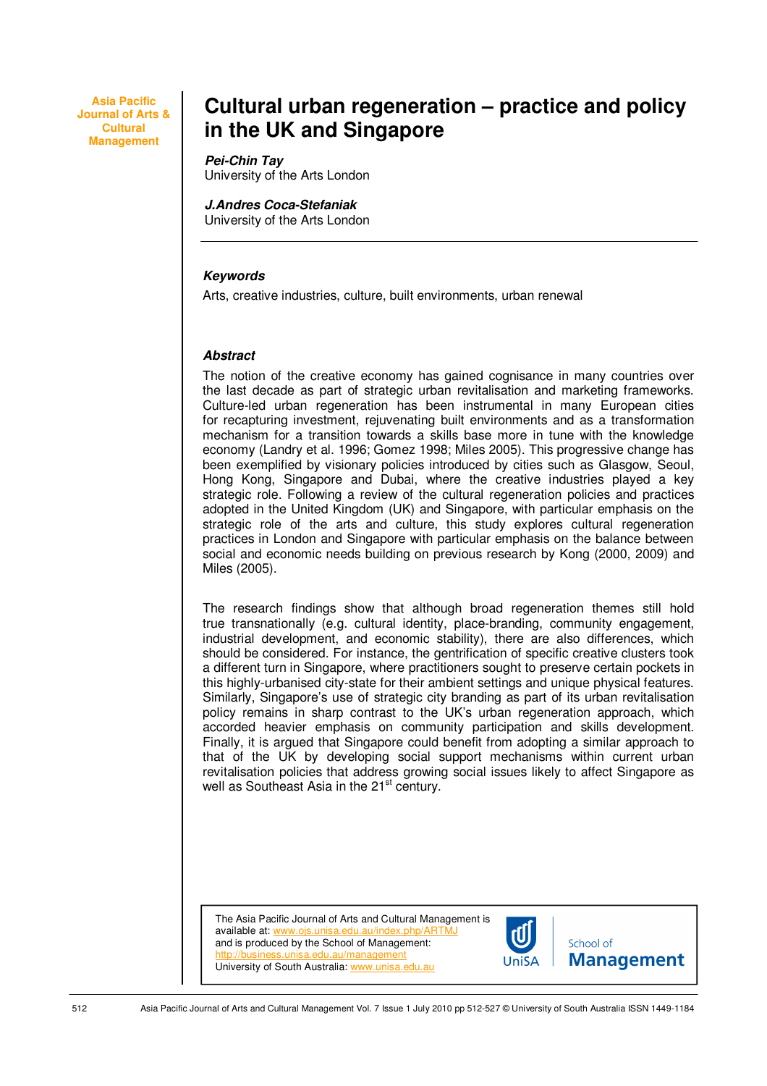**Asia Pacific Journal of Arts & Cultural Management** 

# **Cultural urban regeneration – practice and policy in the UK and Singapore**

#### **Pei-Chin Tay**

University of the Arts London

# **J.Andres Coca-Stefaniak**

University of the Arts London

#### **Keywords**

Arts, creative industries, culture, built environments, urban renewal

#### **Abstract**

The notion of the creative economy has gained cognisance in many countries over the last decade as part of strategic urban revitalisation and marketing frameworks. Culture-led urban regeneration has been instrumental in many European cities for recapturing investment, rejuvenating built environments and as a transformation mechanism for a transition towards a skills base more in tune with the knowledge economy (Landry et al. 1996; Gomez 1998; Miles 2005). This progressive change has been exemplified by visionary policies introduced by cities such as Glasgow, Seoul, Hong Kong, Singapore and Dubai, where the creative industries played a key strategic role. Following a review of the cultural regeneration policies and practices adopted in the United Kingdom (UK) and Singapore, with particular emphasis on the strategic role of the arts and culture, this study explores cultural regeneration practices in London and Singapore with particular emphasis on the balance between social and economic needs building on previous research by Kong (2000, 2009) and Miles (2005).

The research findings show that although broad regeneration themes still hold true transnationally (e.g. cultural identity, place-branding, community engagement, industrial development, and economic stability), there are also differences, which should be considered. For instance, the gentrification of specific creative clusters took a different turn in Singapore, where practitioners sought to preserve certain pockets in this highly-urbanised city-state for their ambient settings and unique physical features. Similarly, Singapore's use of strategic city branding as part of its urban revitalisation policy remains in sharp contrast to the UK's urban regeneration approach, which accorded heavier emphasis on community participation and skills development. Finally, it is argued that Singapore could benefit from adopting a similar approach to that of the UK by developing social support mechanisms within current urban revitalisation policies that address growing social issues likely to affect Singapore as well as Southeast Asia in the 21<sup>st</sup> century.

The Asia Pacific Journal of Arts and Cultural Management is available at: www.ois.unisa.edu.au/index.php/AF and is produced by the School of Management: http://business.unisa.edu.au/management University of South Australia: www.unisa.edu.au

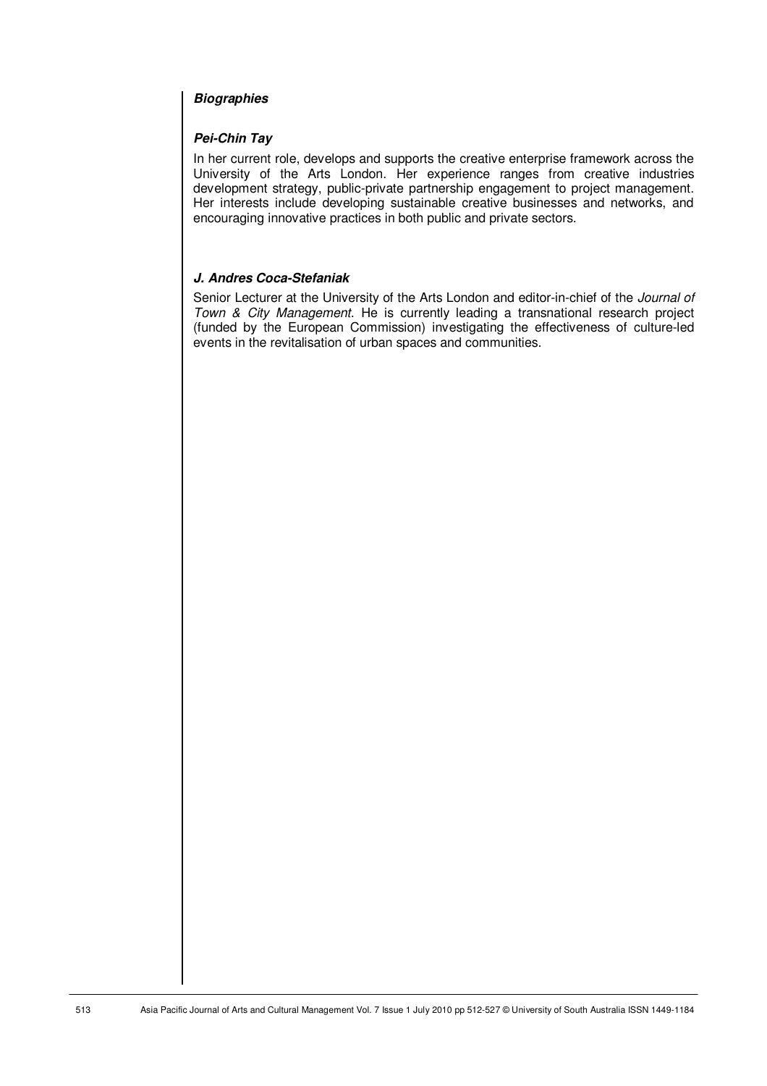# **Biographies**

# **Pei-Chin Tay**

In her current role, develops and supports the creative enterprise framework across the University of the Arts London. Her experience ranges from creative industries development strategy, public-private partnership engagement to project management. Her interests include developing sustainable creative businesses and networks, and encouraging innovative practices in both public and private sectors.

# **J. Andres Coca-Stefaniak**

Senior Lecturer at the University of the Arts London and editor-in-chief of the Journal of Town & City Management. He is currently leading a transnational research project (funded by the European Commission) investigating the effectiveness of culture-led events in the revitalisation of urban spaces and communities.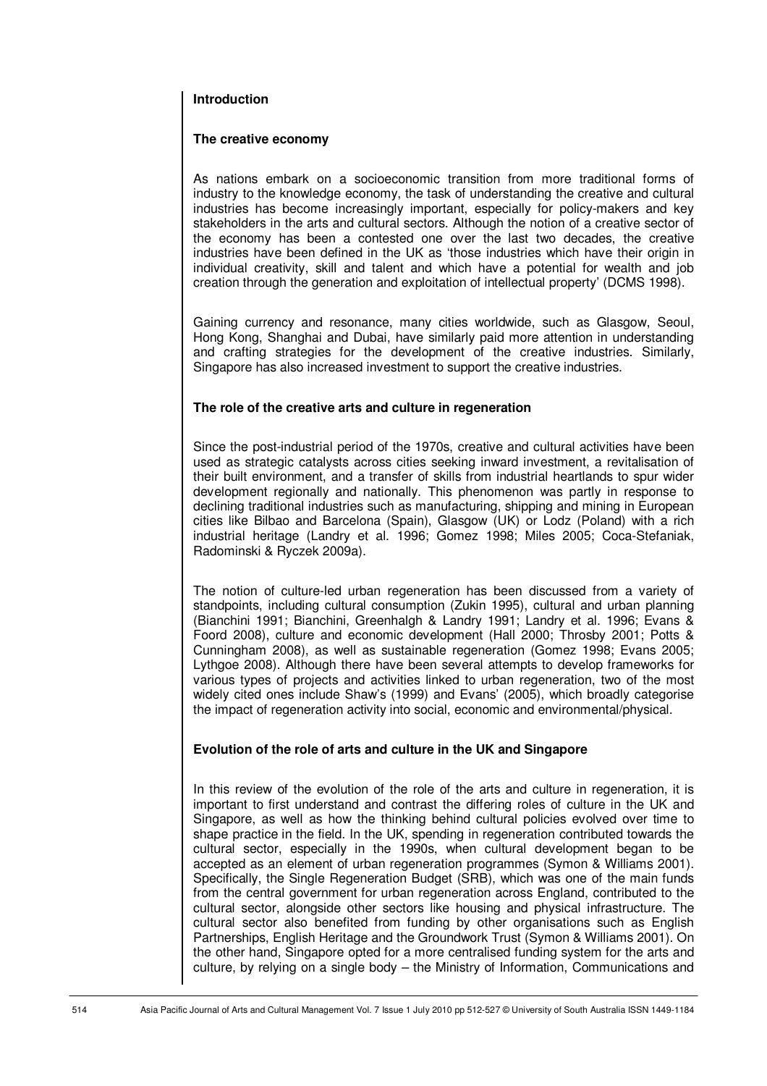#### **Introduction**

#### **The creative economy**

As nations embark on a socioeconomic transition from more traditional forms of industry to the knowledge economy, the task of understanding the creative and cultural industries has become increasingly important, especially for policy-makers and key stakeholders in the arts and cultural sectors. Although the notion of a creative sector of the economy has been a contested one over the last two decades, the creative industries have been defined in the UK as 'those industries which have their origin in individual creativity, skill and talent and which have a potential for wealth and job creation through the generation and exploitation of intellectual property' (DCMS 1998).

Gaining currency and resonance, many cities worldwide, such as Glasgow, Seoul, Hong Kong, Shanghai and Dubai, have similarly paid more attention in understanding and crafting strategies for the development of the creative industries. Similarly, Singapore has also increased investment to support the creative industries.

#### **The role of the creative arts and culture in regeneration**

Since the post-industrial period of the 1970s, creative and cultural activities have been used as strategic catalysts across cities seeking inward investment, a revitalisation of their built environment, and a transfer of skills from industrial heartlands to spur wider development regionally and nationally. This phenomenon was partly in response to declining traditional industries such as manufacturing, shipping and mining in European cities like Bilbao and Barcelona (Spain), Glasgow (UK) or Lodz (Poland) with a rich industrial heritage (Landry et al. 1996; Gomez 1998; Miles 2005; Coca-Stefaniak, Radominski & Ryczek 2009a).

The notion of culture-led urban regeneration has been discussed from a variety of standpoints, including cultural consumption (Zukin 1995), cultural and urban planning (Bianchini 1991; Bianchini, Greenhalgh & Landry 1991; Landry et al. 1996; Evans & Foord 2008), culture and economic development (Hall 2000; Throsby 2001; Potts & Cunningham 2008), as well as sustainable regeneration (Gomez 1998; Evans 2005; Lythgoe 2008). Although there have been several attempts to develop frameworks for various types of projects and activities linked to urban regeneration, two of the most widely cited ones include Shaw's (1999) and Evans' (2005), which broadly categorise the impact of regeneration activity into social, economic and environmental/physical.

# **Evolution of the role of arts and culture in the UK and Singapore**

In this review of the evolution of the role of the arts and culture in regeneration, it is important to first understand and contrast the differing roles of culture in the UK and Singapore, as well as how the thinking behind cultural policies evolved over time to shape practice in the field. In the UK, spending in regeneration contributed towards the cultural sector, especially in the 1990s, when cultural development began to be accepted as an element of urban regeneration programmes (Symon & Williams 2001). Specifically, the Single Regeneration Budget (SRB), which was one of the main funds from the central government for urban regeneration across England, contributed to the cultural sector, alongside other sectors like housing and physical infrastructure. The cultural sector also benefited from funding by other organisations such as English Partnerships, English Heritage and the Groundwork Trust (Symon & Williams 2001). On the other hand, Singapore opted for a more centralised funding system for the arts and culture, by relying on a single body – the Ministry of Information, Communications and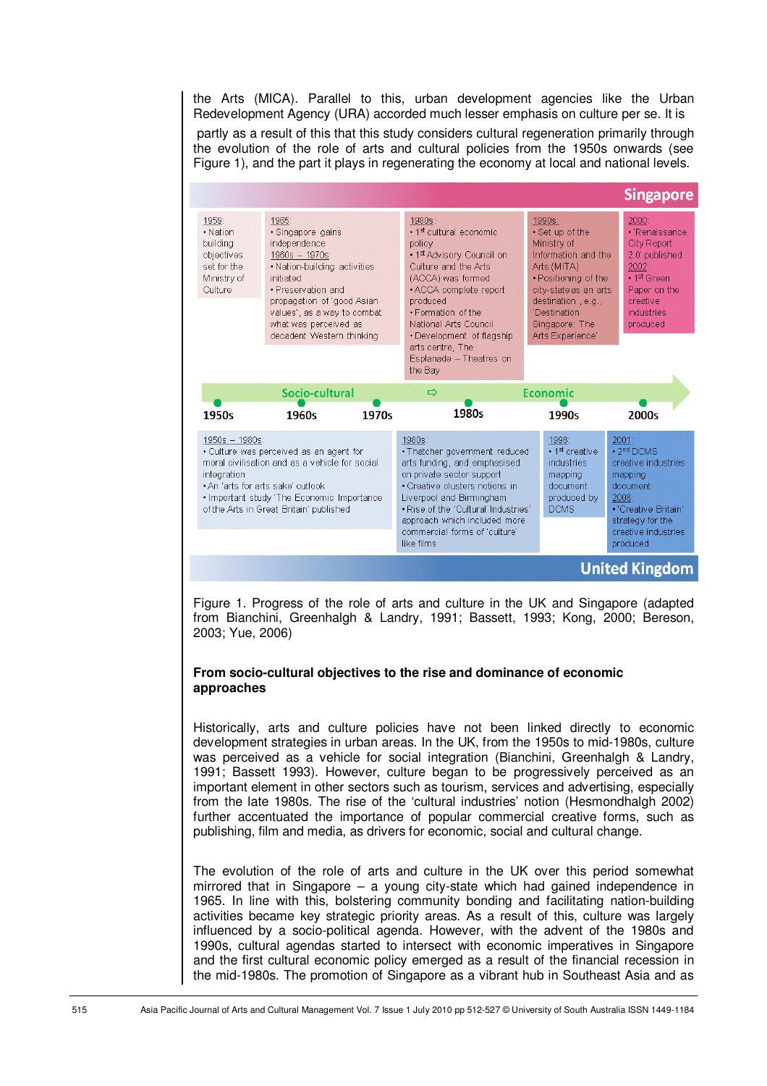the Arts (MICA). Parallel to this, urban development agencies like the Urban Redevelopment Agency (URA) accorded much lesser emphasis on culture per se. It is

 partly as a result of this that this study considers cultural regeneration primarily through the evolution of the role of arts and cultural policies from the 1950s onwards (see Figure 1), and the part it plays in regenerating the economy at local and national levels.



Figure 1. Progress of the role of arts and culture in the UK and Singapore (adapted from Bianchini, Greenhalgh & Landry, 1991; Bassett, 1993; Kong, 2000; Bereson, 2003; Yue, 2006)

#### **From socio-cultural objectives to the rise and dominance of economic approaches**

Historically, arts and culture policies have not been linked directly to economic development strategies in urban areas. In the UK, from the 1950s to mid-1980s, culture was perceived as a vehicle for social integration (Bianchini, Greenhalgh & Landry, 1991; Bassett 1993). However, culture began to be progressively perceived as an important element in other sectors such as tourism, services and advertising, especially from the late 1980s. The rise of the 'cultural industries' notion (Hesmondhalgh 2002) further accentuated the importance of popular commercial creative forms, such as publishing, film and media, as drivers for economic, social and cultural change.

The evolution of the role of arts and culture in the UK over this period somewhat mirrored that in Singapore – a young city-state which had gained independence in 1965. In line with this, bolstering community bonding and facilitating nation-building activities became key strategic priority areas. As a result of this, culture was largely influenced by a socio-political agenda. However, with the advent of the 1980s and 1990s, cultural agendas started to intersect with economic imperatives in Singapore and the first cultural economic policy emerged as a result of the financial recession in the mid-1980s. The promotion of Singapore as a vibrant hub in Southeast Asia and as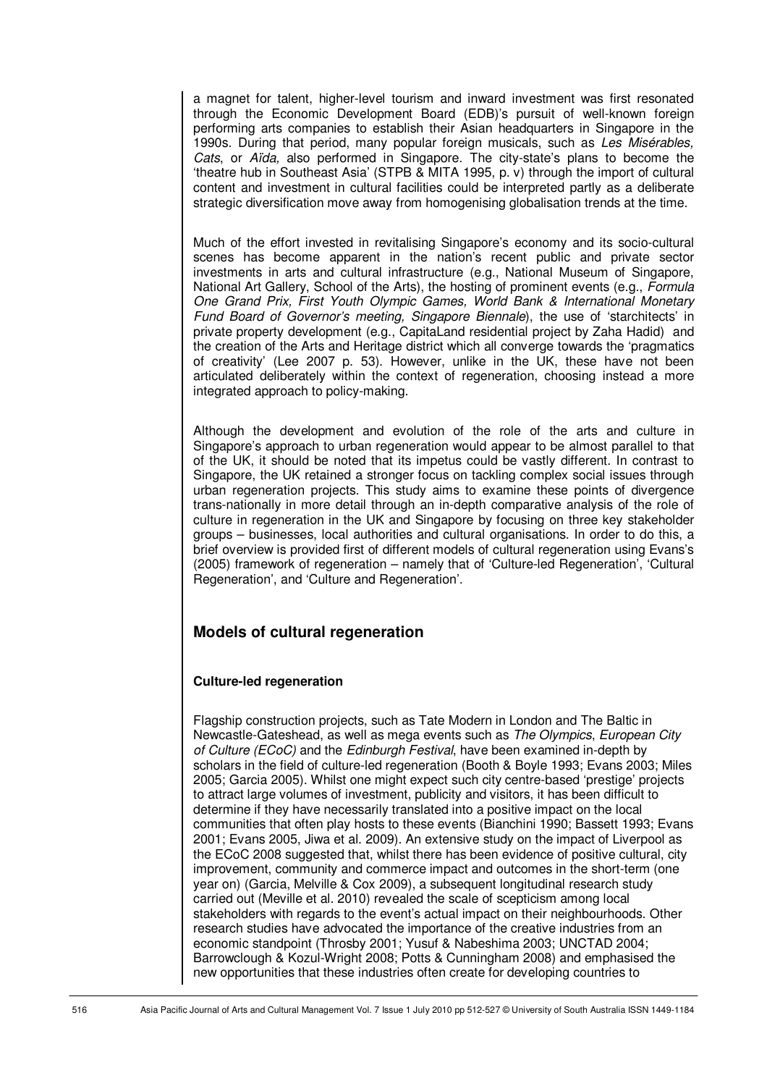a magnet for talent, higher-level tourism and inward investment was first resonated through the Economic Development Board (EDB)'s pursuit of well-known foreign performing arts companies to establish their Asian headquarters in Singapore in the 1990s. During that period, many popular foreign musicals, such as Les Misérables, Cats, or Aïda, also performed in Singapore. The city-state's plans to become the 'theatre hub in Southeast Asia' (STPB & MITA 1995, p. v) through the import of cultural content and investment in cultural facilities could be interpreted partly as a deliberate strategic diversification move away from homogenising globalisation trends at the time.

Much of the effort invested in revitalising Singapore's economy and its socio-cultural scenes has become apparent in the nation's recent public and private sector investments in arts and cultural infrastructure (e.g., National Museum of Singapore, National Art Gallery, School of the Arts), the hosting of prominent events (e.g., Formula One Grand Prix, First Youth Olympic Games, World Bank & International Monetary Fund Board of Governor's meeting, Singapore Biennale), the use of 'starchitects' in private property development (e.g., CapitaLand residential project by Zaha Hadid) and the creation of the Arts and Heritage district which all converge towards the 'pragmatics of creativity' (Lee 2007 p. 53). However, unlike in the UK, these have not been articulated deliberately within the context of regeneration, choosing instead a more integrated approach to policy-making.

Although the development and evolution of the role of the arts and culture in Singapore's approach to urban regeneration would appear to be almost parallel to that of the UK, it should be noted that its impetus could be vastly different. In contrast to Singapore, the UK retained a stronger focus on tackling complex social issues through urban regeneration projects. This study aims to examine these points of divergence trans-nationally in more detail through an in-depth comparative analysis of the role of culture in regeneration in the UK and Singapore by focusing on three key stakeholder groups – businesses, local authorities and cultural organisations. In order to do this, a brief overview is provided first of different models of cultural regeneration using Evans's (2005) framework of regeneration – namely that of 'Culture-led Regeneration', 'Cultural Regeneration', and 'Culture and Regeneration'.

# **Models of cultural regeneration**

#### **Culture-led regeneration**

Flagship construction projects, such as Tate Modern in London and The Baltic in Newcastle-Gateshead, as well as mega events such as The Olympics, European City of Culture (ECoC) and the Edinburgh Festival, have been examined in-depth by scholars in the field of culture-led regeneration (Booth & Boyle 1993; Evans 2003; Miles 2005; Garcia 2005). Whilst one might expect such city centre-based 'prestige' projects to attract large volumes of investment, publicity and visitors, it has been difficult to determine if they have necessarily translated into a positive impact on the local communities that often play hosts to these events (Bianchini 1990; Bassett 1993; Evans 2001; Evans 2005, Jiwa et al. 2009). An extensive study on the impact of Liverpool as the ECoC 2008 suggested that, whilst there has been evidence of positive cultural, city improvement, community and commerce impact and outcomes in the short-term (one year on) (Garcia, Melville & Cox 2009), a subsequent longitudinal research study carried out (Meville et al. 2010) revealed the scale of scepticism among local stakeholders with regards to the event's actual impact on their neighbourhoods. Other research studies have advocated the importance of the creative industries from an economic standpoint (Throsby 2001; Yusuf & Nabeshima 2003; UNCTAD 2004; Barrowclough & Kozul-Wright 2008; Potts & Cunningham 2008) and emphasised the new opportunities that these industries often create for developing countries to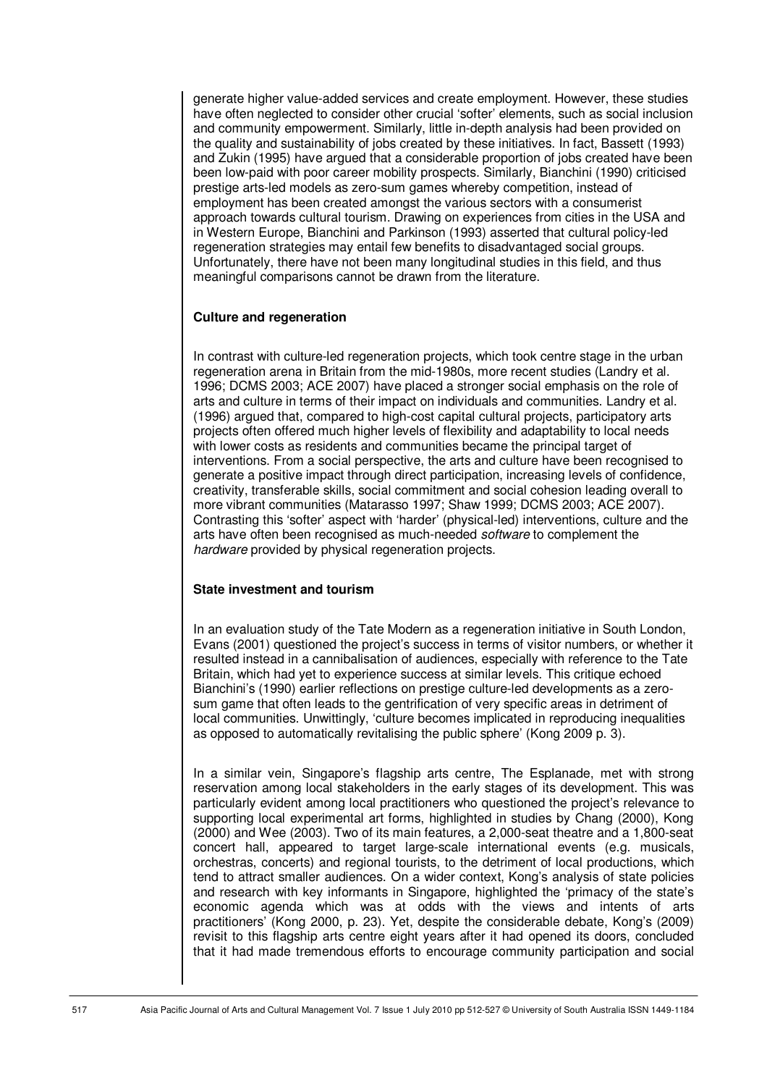generate higher value-added services and create employment. However, these studies have often neglected to consider other crucial 'softer' elements, such as social inclusion and community empowerment. Similarly, little in-depth analysis had been provided on the quality and sustainability of jobs created by these initiatives. In fact, Bassett (1993) and Zukin (1995) have argued that a considerable proportion of jobs created have been been low-paid with poor career mobility prospects. Similarly, Bianchini (1990) criticised prestige arts-led models as zero-sum games whereby competition, instead of employment has been created amongst the various sectors with a consumerist approach towards cultural tourism. Drawing on experiences from cities in the USA and in Western Europe, Bianchini and Parkinson (1993) asserted that cultural policy-led regeneration strategies may entail few benefits to disadvantaged social groups. Unfortunately, there have not been many longitudinal studies in this field, and thus meaningful comparisons cannot be drawn from the literature.

#### **Culture and regeneration**

In contrast with culture-led regeneration projects, which took centre stage in the urban regeneration arena in Britain from the mid-1980s, more recent studies (Landry et al. 1996; DCMS 2003; ACE 2007) have placed a stronger social emphasis on the role of arts and culture in terms of their impact on individuals and communities. Landry et al. (1996) argued that, compared to high-cost capital cultural projects, participatory arts projects often offered much higher levels of flexibility and adaptability to local needs with lower costs as residents and communities became the principal target of interventions. From a social perspective, the arts and culture have been recognised to generate a positive impact through direct participation, increasing levels of confidence, creativity, transferable skills, social commitment and social cohesion leading overall to more vibrant communities (Matarasso 1997; Shaw 1999; DCMS 2003; ACE 2007). Contrasting this 'softer' aspect with 'harder' (physical-led) interventions, culture and the arts have often been recognised as much-needed *software* to complement the hardware provided by physical regeneration projects.

#### **State investment and tourism**

In an evaluation study of the Tate Modern as a regeneration initiative in South London, Evans (2001) questioned the project's success in terms of visitor numbers, or whether it resulted instead in a cannibalisation of audiences, especially with reference to the Tate Britain, which had yet to experience success at similar levels. This critique echoed Bianchini's (1990) earlier reflections on prestige culture-led developments as a zerosum game that often leads to the gentrification of very specific areas in detriment of local communities. Unwittingly, 'culture becomes implicated in reproducing inequalities as opposed to automatically revitalising the public sphere' (Kong 2009 p. 3).

In a similar vein, Singapore's flagship arts centre, The Esplanade, met with strong reservation among local stakeholders in the early stages of its development. This was particularly evident among local practitioners who questioned the project's relevance to supporting local experimental art forms, highlighted in studies by Chang (2000), Kong (2000) and Wee (2003). Two of its main features, a 2,000-seat theatre and a 1,800-seat concert hall, appeared to target large-scale international events (e.g. musicals, orchestras, concerts) and regional tourists, to the detriment of local productions, which tend to attract smaller audiences. On a wider context, Kong's analysis of state policies and research with key informants in Singapore, highlighted the 'primacy of the state's economic agenda which was at odds with the views and intents of arts practitioners' (Kong 2000, p. 23). Yet, despite the considerable debate, Kong's (2009) revisit to this flagship arts centre eight years after it had opened its doors, concluded that it had made tremendous efforts to encourage community participation and social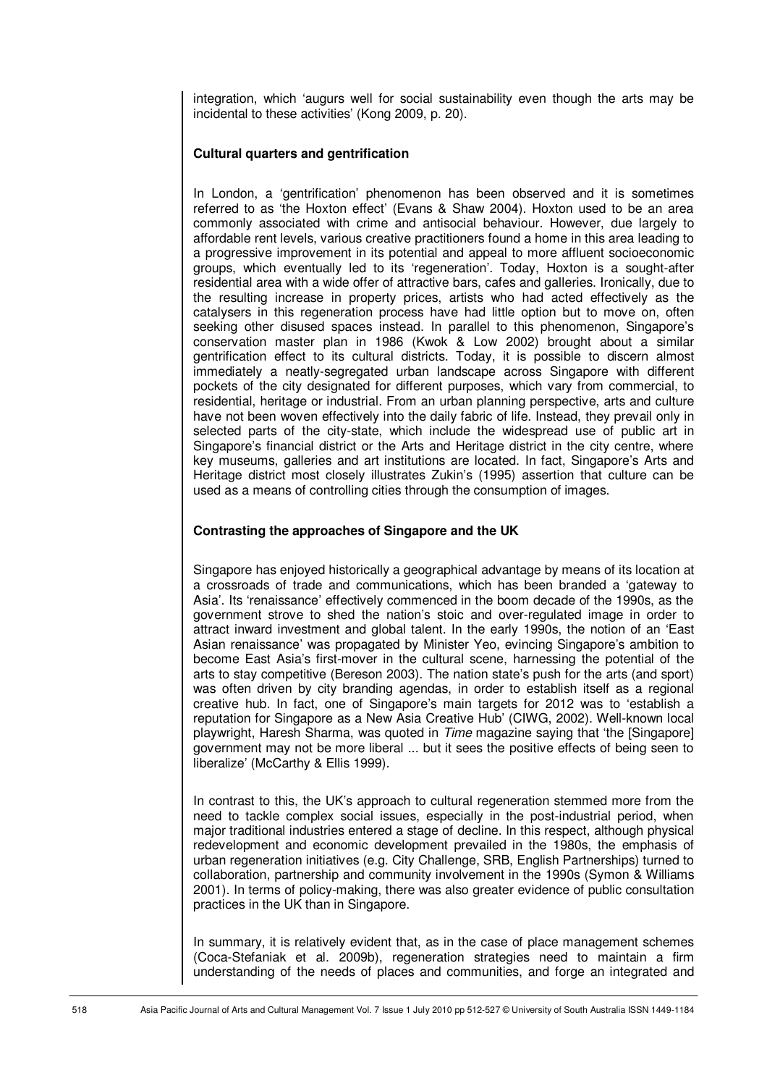integration, which 'augurs well for social sustainability even though the arts may be incidental to these activities' (Kong 2009, p. 20).

#### **Cultural quarters and gentrification**

In London, a 'gentrification' phenomenon has been observed and it is sometimes referred to as 'the Hoxton effect' (Evans & Shaw 2004). Hoxton used to be an area commonly associated with crime and antisocial behaviour. However, due largely to affordable rent levels, various creative practitioners found a home in this area leading to a progressive improvement in its potential and appeal to more affluent socioeconomic groups, which eventually led to its 'regeneration'. Today, Hoxton is a sought-after residential area with a wide offer of attractive bars, cafes and galleries. Ironically, due to the resulting increase in property prices, artists who had acted effectively as the catalysers in this regeneration process have had little option but to move on, often seeking other disused spaces instead. In parallel to this phenomenon, Singapore's conservation master plan in 1986 (Kwok & Low 2002) brought about a similar gentrification effect to its cultural districts. Today, it is possible to discern almost immediately a neatly-segregated urban landscape across Singapore with different pockets of the city designated for different purposes, which vary from commercial, to residential, heritage or industrial. From an urban planning perspective, arts and culture have not been woven effectively into the daily fabric of life. Instead, they prevail only in selected parts of the city-state, which include the widespread use of public art in Singapore's financial district or the Arts and Heritage district in the city centre, where key museums, galleries and art institutions are located. In fact, Singapore's Arts and Heritage district most closely illustrates Zukin's (1995) assertion that culture can be used as a means of controlling cities through the consumption of images.

#### **Contrasting the approaches of Singapore and the UK**

Singapore has enjoyed historically a geographical advantage by means of its location at a crossroads of trade and communications, which has been branded a 'gateway to Asia'. Its 'renaissance' effectively commenced in the boom decade of the 1990s, as the government strove to shed the nation's stoic and over-regulated image in order to attract inward investment and global talent. In the early 1990s, the notion of an 'East Asian renaissance' was propagated by Minister Yeo, evincing Singapore's ambition to become East Asia's first-mover in the cultural scene, harnessing the potential of the arts to stay competitive (Bereson 2003). The nation state's push for the arts (and sport) was often driven by city branding agendas, in order to establish itself as a regional creative hub. In fact, one of Singapore's main targets for 2012 was to 'establish a reputation for Singapore as a New Asia Creative Hub' (CIWG, 2002). Well-known local playwright, Haresh Sharma, was quoted in Time magazine saying that 'the [Singapore] government may not be more liberal ... but it sees the positive effects of being seen to liberalize' (McCarthy & Ellis 1999).

In contrast to this, the UK's approach to cultural regeneration stemmed more from the need to tackle complex social issues, especially in the post-industrial period, when major traditional industries entered a stage of decline. In this respect, although physical redevelopment and economic development prevailed in the 1980s, the emphasis of urban regeneration initiatives (e.g. City Challenge, SRB, English Partnerships) turned to collaboration, partnership and community involvement in the 1990s (Symon & Williams 2001). In terms of policy-making, there was also greater evidence of public consultation practices in the UK than in Singapore.

In summary, it is relatively evident that, as in the case of place management schemes (Coca-Stefaniak et al. 2009b), regeneration strategies need to maintain a firm understanding of the needs of places and communities, and forge an integrated and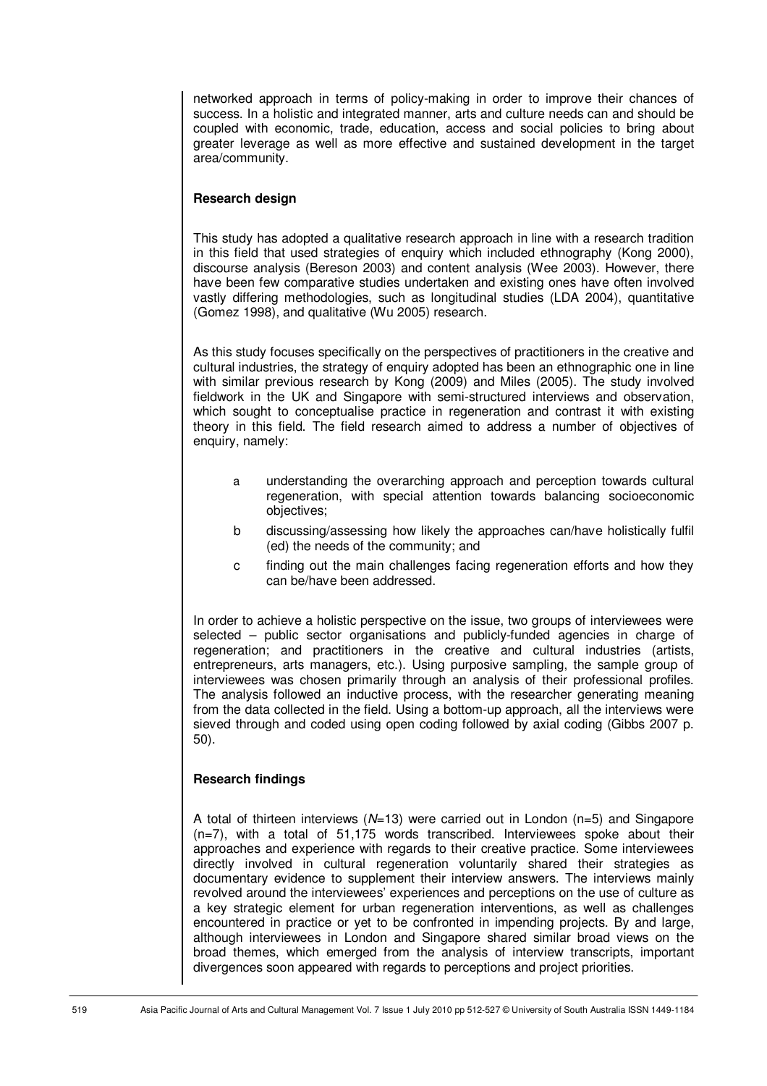networked approach in terms of policy-making in order to improve their chances of success. In a holistic and integrated manner, arts and culture needs can and should be coupled with economic, trade, education, access and social policies to bring about greater leverage as well as more effective and sustained development in the target area/community.

# **Research design**

This study has adopted a qualitative research approach in line with a research tradition in this field that used strategies of enquiry which included ethnography (Kong 2000), discourse analysis (Bereson 2003) and content analysis (Wee 2003). However, there have been few comparative studies undertaken and existing ones have often involved vastly differing methodologies, such as longitudinal studies (LDA 2004), quantitative (Gomez 1998), and qualitative (Wu 2005) research.

As this study focuses specifically on the perspectives of practitioners in the creative and cultural industries, the strategy of enquiry adopted has been an ethnographic one in line with similar previous research by Kong (2009) and Miles (2005). The study involved fieldwork in the UK and Singapore with semi-structured interviews and observation, which sought to conceptualise practice in regeneration and contrast it with existing theory in this field. The field research aimed to address a number of objectives of enquiry, namely:

- a understanding the overarching approach and perception towards cultural regeneration, with special attention towards balancing socioeconomic objectives;
- b discussing/assessing how likely the approaches can/have holistically fulfil (ed) the needs of the community; and
- c finding out the main challenges facing regeneration efforts and how they can be/have been addressed.

In order to achieve a holistic perspective on the issue, two groups of interviewees were selected – public sector organisations and publicly-funded agencies in charge of regeneration; and practitioners in the creative and cultural industries (artists, entrepreneurs, arts managers, etc.). Using purposive sampling, the sample group of interviewees was chosen primarily through an analysis of their professional profiles. The analysis followed an inductive process, with the researcher generating meaning from the data collected in the field. Using a bottom-up approach, all the interviews were sieved through and coded using open coding followed by axial coding (Gibbs 2007 p. 50).

#### **Research findings**

A total of thirteen interviews  $(N=13)$  were carried out in London (n=5) and Singapore (n=7), with a total of 51,175 words transcribed. Interviewees spoke about their approaches and experience with regards to their creative practice. Some interviewees directly involved in cultural regeneration voluntarily shared their strategies as documentary evidence to supplement their interview answers. The interviews mainly revolved around the interviewees' experiences and perceptions on the use of culture as a key strategic element for urban regeneration interventions, as well as challenges encountered in practice or yet to be confronted in impending projects. By and large, although interviewees in London and Singapore shared similar broad views on the broad themes, which emerged from the analysis of interview transcripts, important divergences soon appeared with regards to perceptions and project priorities.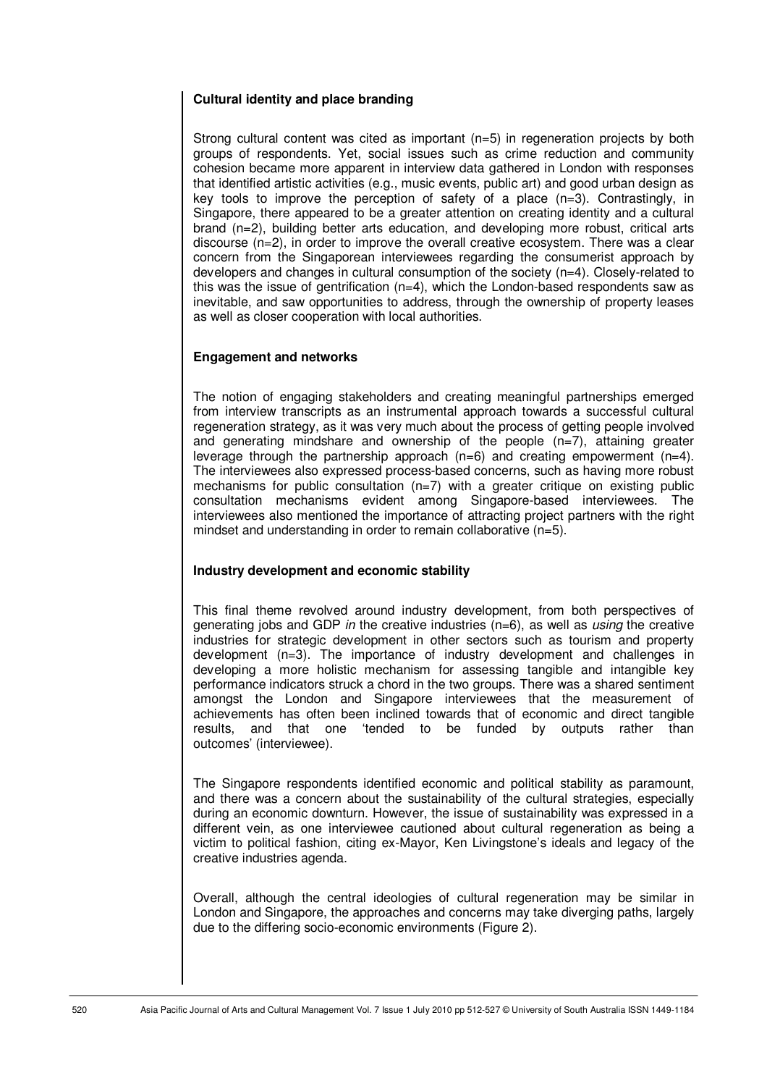# **Cultural identity and place branding**

Strong cultural content was cited as important  $(n=5)$  in regeneration projects by both groups of respondents. Yet, social issues such as crime reduction and community cohesion became more apparent in interview data gathered in London with responses that identified artistic activities (e.g., music events, public art) and good urban design as key tools to improve the perception of safety of a place  $(n=3)$ . Contrastingly, in Singapore, there appeared to be a greater attention on creating identity and a cultural brand (n=2), building better arts education, and developing more robust, critical arts discourse (n=2), in order to improve the overall creative ecosystem. There was a clear concern from the Singaporean interviewees regarding the consumerist approach by developers and changes in cultural consumption of the society (n=4). Closely-related to this was the issue of gentrification  $(n=4)$ , which the London-based respondents saw as inevitable, and saw opportunities to address, through the ownership of property leases as well as closer cooperation with local authorities.

# **Engagement and networks**

The notion of engaging stakeholders and creating meaningful partnerships emerged from interview transcripts as an instrumental approach towards a successful cultural regeneration strategy, as it was very much about the process of getting people involved and generating mindshare and ownership of the people (n=7), attaining greater leverage through the partnership approach  $(n=6)$  and creating empowerment  $(n=4)$ . The interviewees also expressed process-based concerns, such as having more robust mechanisms for public consultation (n=7) with a greater critique on existing public consultation mechanisms evident among Singapore-based interviewees. The interviewees also mentioned the importance of attracting project partners with the right mindset and understanding in order to remain collaborative (n=5).

#### **Industry development and economic stability**

This final theme revolved around industry development, from both perspectives of generating jobs and GDP in the creative industries  $(n=6)$ , as well as using the creative industries for strategic development in other sectors such as tourism and property development (n=3). The importance of industry development and challenges in developing a more holistic mechanism for assessing tangible and intangible key performance indicators struck a chord in the two groups. There was a shared sentiment amongst the London and Singapore interviewees that the measurement of achievements has often been inclined towards that of economic and direct tangible results, and that one 'tended to be funded by outputs rather than outcomes' (interviewee).

The Singapore respondents identified economic and political stability as paramount, and there was a concern about the sustainability of the cultural strategies, especially during an economic downturn. However, the issue of sustainability was expressed in a different vein, as one interviewee cautioned about cultural regeneration as being a victim to political fashion, citing ex-Mayor, Ken Livingstone's ideals and legacy of the creative industries agenda.

Overall, although the central ideologies of cultural regeneration may be similar in London and Singapore, the approaches and concerns may take diverging paths, largely due to the differing socio-economic environments (Figure 2).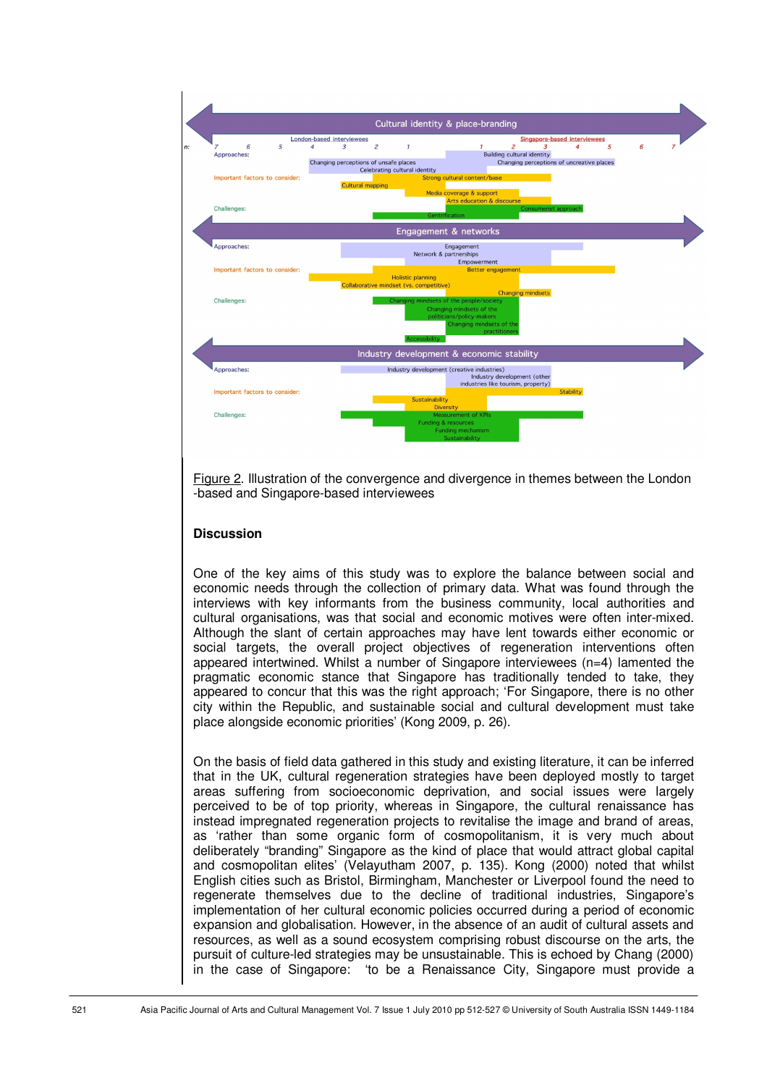

Figure 2. Illustration of the convergence and divergence in themes between the London -based and Singapore-based interviewees

# **Discussion**

One of the key aims of this study was to explore the balance between social and economic needs through the collection of primary data. What was found through the interviews with key informants from the business community, local authorities and cultural organisations, was that social and economic motives were often inter-mixed. Although the slant of certain approaches may have lent towards either economic or social targets, the overall project objectives of regeneration interventions often appeared intertwined. Whilst a number of Singapore interviewees (n=4) lamented the pragmatic economic stance that Singapore has traditionally tended to take, they appeared to concur that this was the right approach; 'For Singapore, there is no other city within the Republic, and sustainable social and cultural development must take place alongside economic priorities' (Kong 2009, p. 26).

On the basis of field data gathered in this study and existing literature, it can be inferred that in the UK, cultural regeneration strategies have been deployed mostly to target areas suffering from socioeconomic deprivation, and social issues were largely perceived to be of top priority, whereas in Singapore, the cultural renaissance has instead impregnated regeneration projects to revitalise the image and brand of areas, as 'rather than some organic form of cosmopolitanism, it is very much about deliberately "branding" Singapore as the kind of place that would attract global capital and cosmopolitan elites' (Velayutham 2007, p. 135). Kong (2000) noted that whilst English cities such as Bristol, Birmingham, Manchester or Liverpool found the need to regenerate themselves due to the decline of traditional industries, Singapore's implementation of her cultural economic policies occurred during a period of economic expansion and globalisation. However, in the absence of an audit of cultural assets and resources, as well as a sound ecosystem comprising robust discourse on the arts, the pursuit of culture-led strategies may be unsustainable. This is echoed by Chang (2000) in the case of Singapore: 'to be a Renaissance City, Singapore must provide a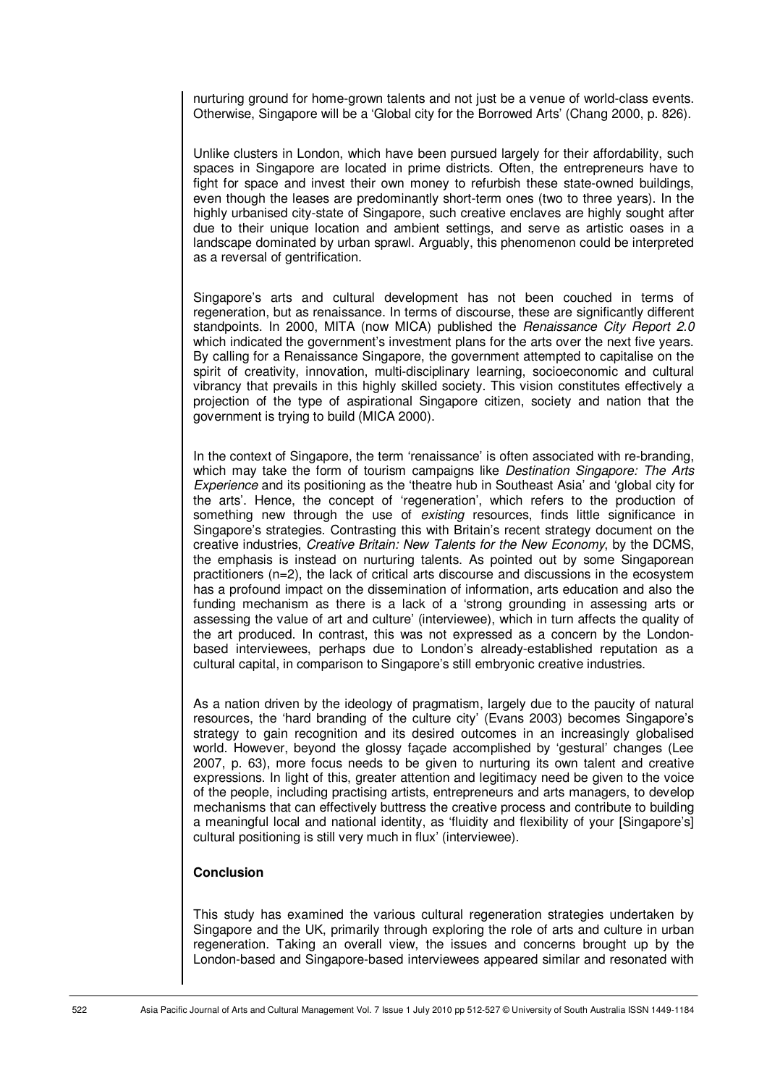nurturing ground for home-grown talents and not just be a venue of world-class events. Otherwise, Singapore will be a 'Global city for the Borrowed Arts' (Chang 2000, p. 826).

Unlike clusters in London, which have been pursued largely for their affordability, such spaces in Singapore are located in prime districts. Often, the entrepreneurs have to fight for space and invest their own money to refurbish these state-owned buildings, even though the leases are predominantly short-term ones (two to three years). In the highly urbanised city-state of Singapore, such creative enclaves are highly sought after due to their unique location and ambient settings, and serve as artistic oases in a landscape dominated by urban sprawl. Arguably, this phenomenon could be interpreted as a reversal of gentrification.

Singapore's arts and cultural development has not been couched in terms of regeneration, but as renaissance. In terms of discourse, these are significantly different standpoints. In 2000, MITA (now MICA) published the Renaissance City Report 2.0 which indicated the government's investment plans for the arts over the next five years. By calling for a Renaissance Singapore, the government attempted to capitalise on the spirit of creativity, innovation, multi-disciplinary learning, socioeconomic and cultural vibrancy that prevails in this highly skilled society. This vision constitutes effectively a projection of the type of aspirational Singapore citizen, society and nation that the government is trying to build (MICA 2000).

In the context of Singapore, the term 'renaissance' is often associated with re-branding, which may take the form of tourism campaigns like *Destination Singapore: The Arts* Experience and its positioning as the 'theatre hub in Southeast Asia' and 'global city for the arts'. Hence, the concept of 'regeneration', which refers to the production of something new through the use of *existing* resources, finds little significance in Singapore's strategies. Contrasting this with Britain's recent strategy document on the creative industries, Creative Britain: New Talents for the New Economy, by the DCMS, the emphasis is instead on nurturing talents. As pointed out by some Singaporean practitioners (n=2), the lack of critical arts discourse and discussions in the ecosystem has a profound impact on the dissemination of information, arts education and also the funding mechanism as there is a lack of a 'strong grounding in assessing arts or assessing the value of art and culture' (interviewee), which in turn affects the quality of the art produced. In contrast, this was not expressed as a concern by the Londonbased interviewees, perhaps due to London's already-established reputation as a cultural capital, in comparison to Singapore's still embryonic creative industries.

As a nation driven by the ideology of pragmatism, largely due to the paucity of natural resources, the 'hard branding of the culture city' (Evans 2003) becomes Singapore's strategy to gain recognition and its desired outcomes in an increasingly globalised world. However, beyond the glossy façade accomplished by 'gestural' changes (Lee 2007, p. 63), more focus needs to be given to nurturing its own talent and creative expressions. In light of this, greater attention and legitimacy need be given to the voice of the people, including practising artists, entrepreneurs and arts managers, to develop mechanisms that can effectively buttress the creative process and contribute to building a meaningful local and national identity, as 'fluidity and flexibility of your [Singapore's] cultural positioning is still very much in flux' (interviewee).

#### **Conclusion**

This study has examined the various cultural regeneration strategies undertaken by Singapore and the UK, primarily through exploring the role of arts and culture in urban regeneration. Taking an overall view, the issues and concerns brought up by the London-based and Singapore-based interviewees appeared similar and resonated with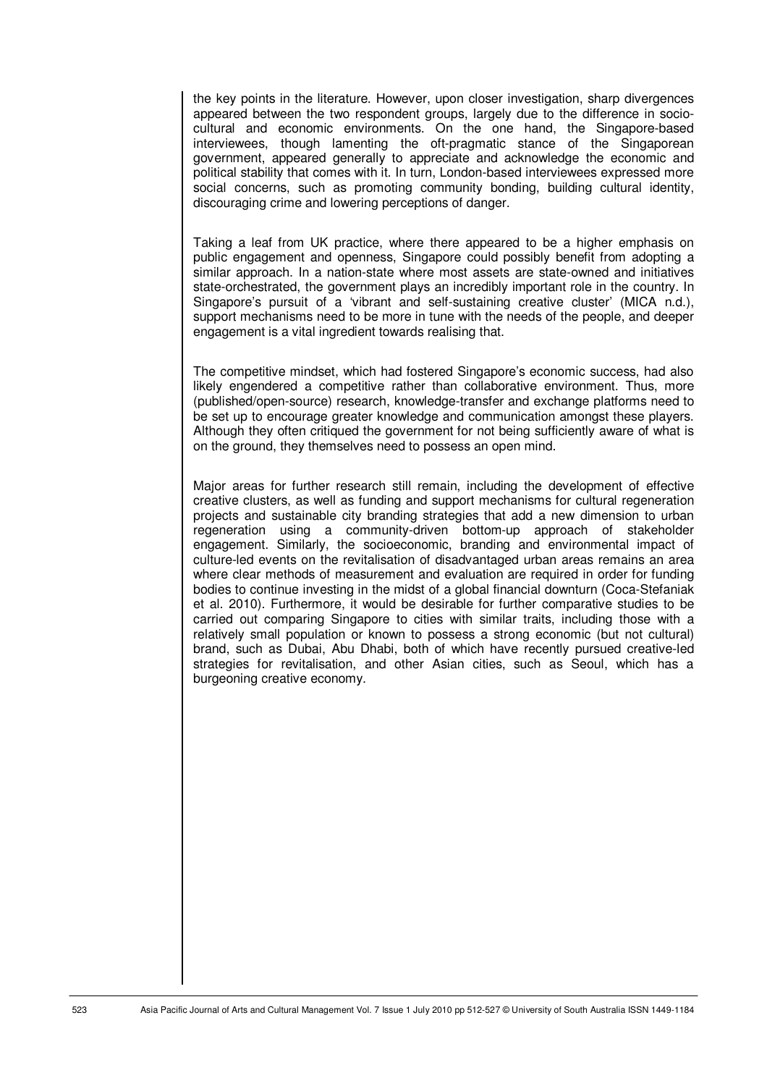the key points in the literature. However, upon closer investigation, sharp divergences appeared between the two respondent groups, largely due to the difference in sociocultural and economic environments. On the one hand, the Singapore-based interviewees, though lamenting the oft-pragmatic stance of the Singaporean government, appeared generally to appreciate and acknowledge the economic and political stability that comes with it. In turn, London-based interviewees expressed more social concerns, such as promoting community bonding, building cultural identity, discouraging crime and lowering perceptions of danger.

Taking a leaf from UK practice, where there appeared to be a higher emphasis on public engagement and openness, Singapore could possibly benefit from adopting a similar approach. In a nation-state where most assets are state-owned and initiatives state-orchestrated, the government plays an incredibly important role in the country. In Singapore's pursuit of a 'vibrant and self-sustaining creative cluster' (MICA n.d.), support mechanisms need to be more in tune with the needs of the people, and deeper engagement is a vital ingredient towards realising that.

The competitive mindset, which had fostered Singapore's economic success, had also likely engendered a competitive rather than collaborative environment. Thus, more (published/open-source) research, knowledge-transfer and exchange platforms need to be set up to encourage greater knowledge and communication amongst these players. Although they often critiqued the government for not being sufficiently aware of what is on the ground, they themselves need to possess an open mind.

Major areas for further research still remain, including the development of effective creative clusters, as well as funding and support mechanisms for cultural regeneration projects and sustainable city branding strategies that add a new dimension to urban regeneration using a community-driven bottom-up approach of stakeholder engagement. Similarly, the socioeconomic, branding and environmental impact of culture-led events on the revitalisation of disadvantaged urban areas remains an area where clear methods of measurement and evaluation are required in order for funding bodies to continue investing in the midst of a global financial downturn (Coca-Stefaniak et al. 2010). Furthermore, it would be desirable for further comparative studies to be carried out comparing Singapore to cities with similar traits, including those with a relatively small population or known to possess a strong economic (but not cultural) brand, such as Dubai, Abu Dhabi, both of which have recently pursued creative-led strategies for revitalisation, and other Asian cities, such as Seoul, which has a burgeoning creative economy.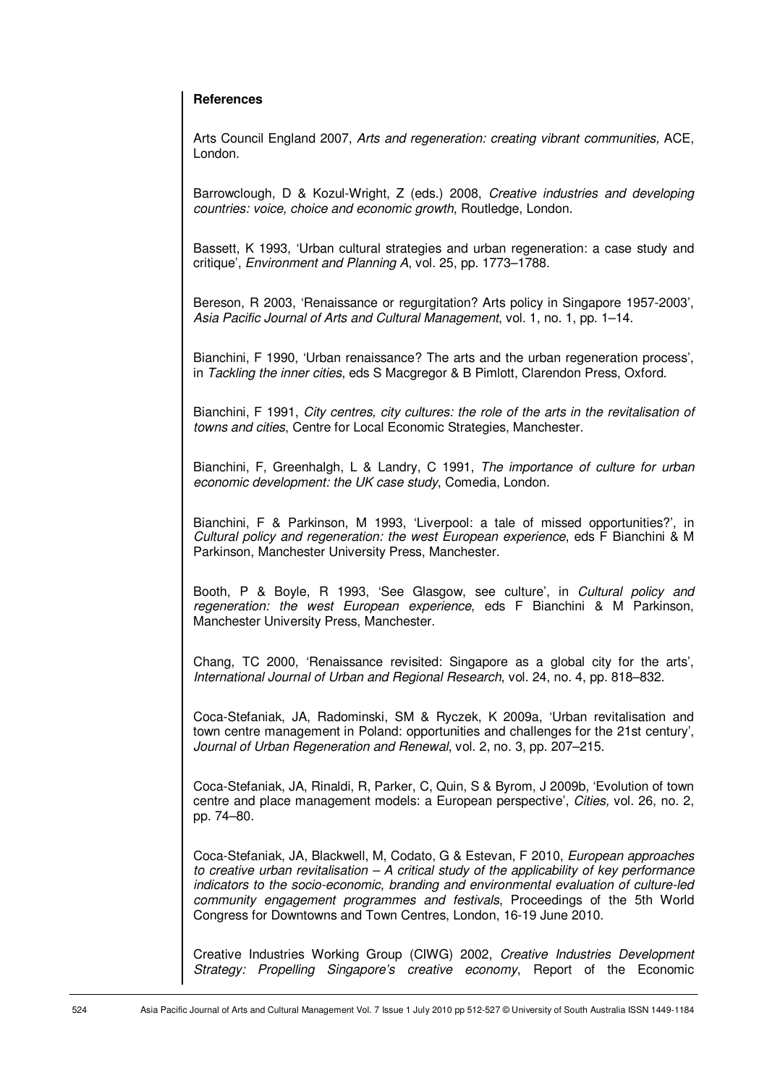#### **References**

Arts Council England 2007, Arts and regeneration: creating vibrant communities, ACE, London.

Barrowclough, D & Kozul-Wright, Z (eds.) 2008, Creative industries and developing countries: voice, choice and economic growth, Routledge, London.

Bassett, K 1993, 'Urban cultural strategies and urban regeneration: a case study and critique', Environment and Planning A, vol. 25, pp. 1773–1788.

Bereson, R 2003, 'Renaissance or regurgitation? Arts policy in Singapore 1957-2003', Asia Pacific Journal of Arts and Cultural Management, vol. 1, no. 1, pp. 1–14.

Bianchini, F 1990, 'Urban renaissance? The arts and the urban regeneration process', in Tackling the inner cities, eds S Macgregor & B Pimlott, Clarendon Press, Oxford.

Bianchini, F 1991, City centres, city cultures: the role of the arts in the revitalisation of towns and cities, Centre for Local Economic Strategies, Manchester.

Bianchini, F, Greenhalgh, L & Landry, C 1991, The importance of culture for urban economic development: the UK case study, Comedia, London.

Bianchini, F & Parkinson, M 1993, 'Liverpool: a tale of missed opportunities?', in Cultural policy and regeneration: the west European experience, eds F Bianchini & M Parkinson, Manchester University Press, Manchester.

Booth, P & Boyle, R 1993, 'See Glasgow, see culture', in Cultural policy and regeneration: the west European experience, eds F Bianchini & M Parkinson, Manchester University Press, Manchester.

Chang, TC 2000, 'Renaissance revisited: Singapore as a global city for the arts', International Journal of Urban and Regional Research, vol. 24, no. 4, pp. 818–832.

Coca-Stefaniak, JA, Radominski, SM & Ryczek, K 2009a, 'Urban revitalisation and town centre management in Poland: opportunities and challenges for the 21st century', Journal of Urban Regeneration and Renewal, vol. 2, no. 3, pp. 207–215.

Coca-Stefaniak, JA, Rinaldi, R, Parker, C, Quin, S & Byrom, J 2009b, 'Evolution of town centre and place management models: a European perspective', Cities, vol. 26, no. 2, pp. 74–80.

Coca-Stefaniak, JA, Blackwell, M, Codato, G & Estevan, F 2010, European approaches to creative urban revitalisation  $-A$  critical study of the applicability of key performance indicators to the socio-economic, branding and environmental evaluation of culture-led community engagement programmes and festivals, Proceedings of the 5th World Congress for Downtowns and Town Centres, London, 16-19 June 2010.

Creative Industries Working Group (CIWG) 2002, Creative Industries Development Strategy: Propelling Singapore's creative economy, Report of the Economic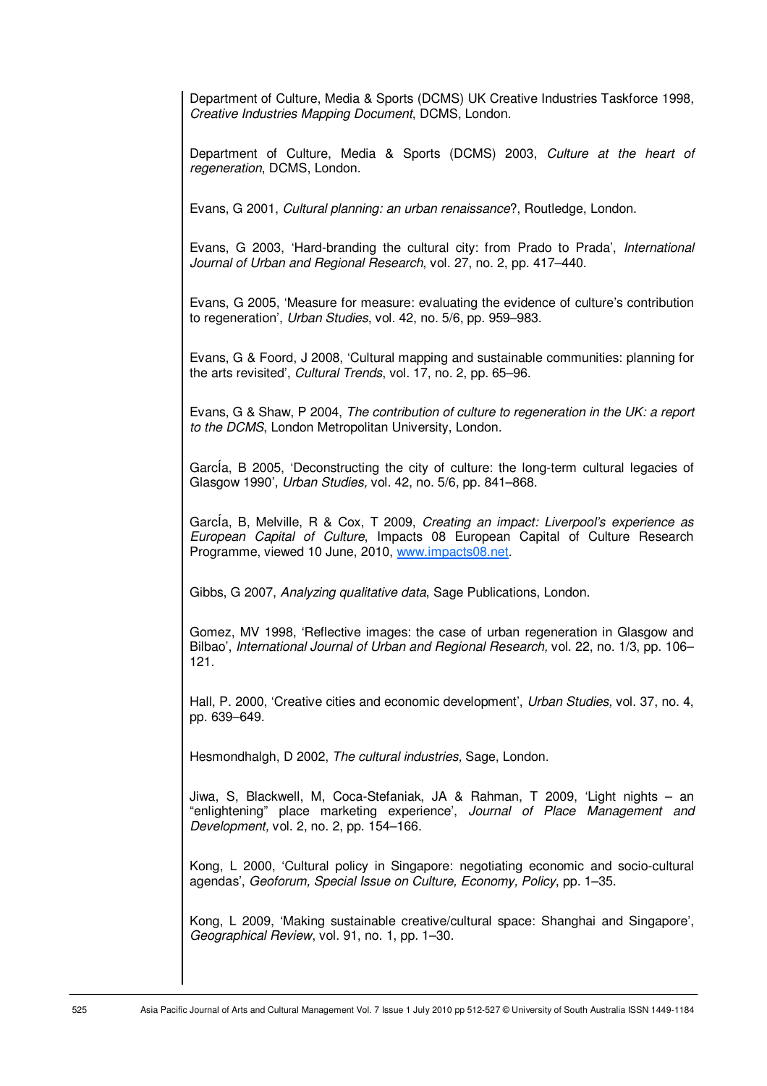Department of Culture, Media & Sports (DCMS) UK Creative Industries Taskforce 1998, Creative Industries Mapping Document, DCMS, London.

Department of Culture, Media & Sports (DCMS) 2003, Culture at the heart of regeneration, DCMS, London.

Evans, G 2001, Cultural planning: an urban renaissance?, Routledge, London.

Evans, G 2003, 'Hard-branding the cultural city: from Prado to Prada', International Journal of Urban and Regional Research, vol. 27, no. 2, pp. 417–440.

Evans, G 2005, 'Measure for measure: evaluating the evidence of culture's contribution to regeneration', Urban Studies, vol. 42, no. 5/6, pp. 959–983.

Evans, G & Foord, J 2008, 'Cultural mapping and sustainable communities: planning for the arts revisited', Cultural Trends, vol. 17, no. 2, pp. 65–96.

Evans, G & Shaw, P 2004, The contribution of culture to regeneration in the UK: a report to the DCMS, London Metropolitan University, London.

GarcÍa, B 2005, 'Deconstructing the city of culture: the long-term cultural legacies of Glasgow 1990', Urban Studies, vol. 42, no. 5/6, pp. 841–868.

GarcÍa, B, Melville, R & Cox, T 2009, Creating an impact: Liverpool's experience as European Capital of Culture, Impacts 08 European Capital of Culture Research Programme, viewed 10 June, 2010, www.impacts08.net.

Gibbs, G 2007, Analyzing qualitative data, Sage Publications, London.

Gomez, MV 1998, 'Reflective images: the case of urban regeneration in Glasgow and Bilbao', International Journal of Urban and Regional Research, vol. 22, no. 1/3, pp. 106– 121.

Hall, P. 2000, 'Creative cities and economic development', Urban Studies, vol. 37, no. 4, pp. 639–649.

Hesmondhalgh, D 2002, The cultural industries, Sage, London.

Jiwa, S, Blackwell, M, Coca-Stefaniak, JA & Rahman, T 2009, 'Light nights – an "enlightening" place marketing experience', Journal of Place Management and Development, vol. 2, no. 2, pp. 154–166.

Kong, L 2000, 'Cultural policy in Singapore: negotiating economic and socio-cultural agendas', Geoforum, Special Issue on Culture, Economy, Policy, pp. 1–35.

Kong, L 2009, 'Making sustainable creative/cultural space: Shanghai and Singapore', Geographical Review, vol. 91, no. 1, pp. 1–30.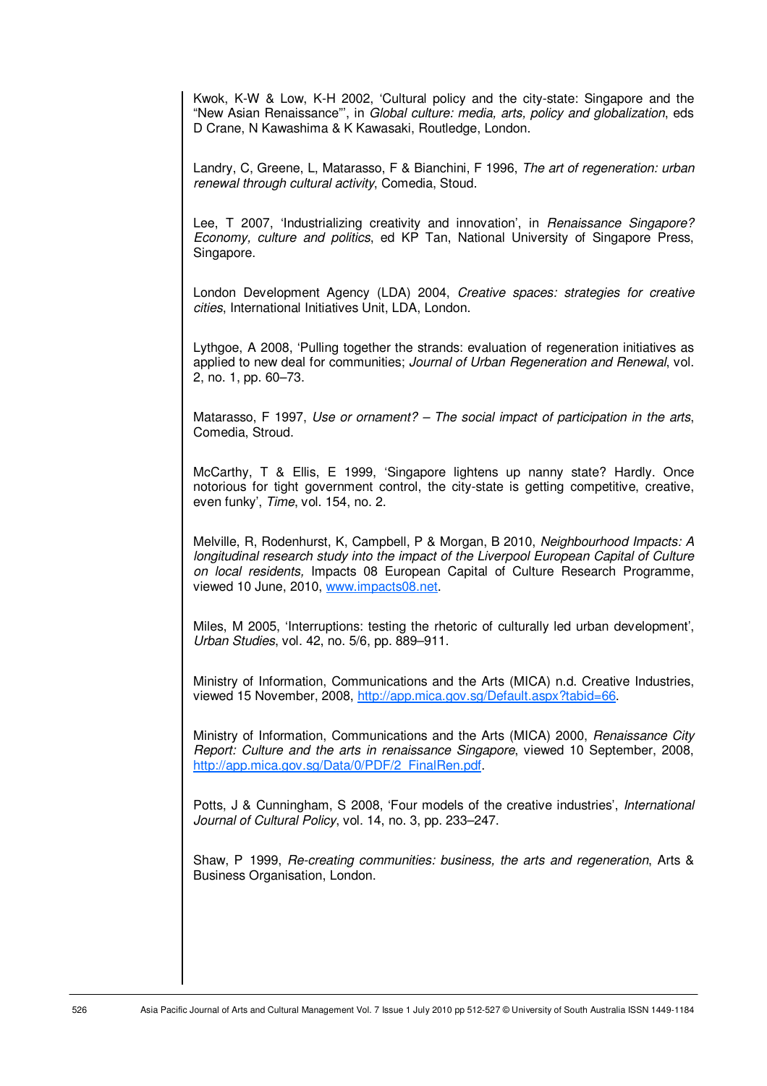Kwok, K-W & Low, K-H 2002, 'Cultural policy and the city-state: Singapore and the "New Asian Renaissance"', in Global culture: media, arts, policy and globalization, eds D Crane, N Kawashima & K Kawasaki, Routledge, London.

Landry, C, Greene, L, Matarasso, F & Bianchini, F 1996, The art of regeneration: urban renewal through cultural activity, Comedia, Stoud.

Lee, T 2007, 'Industrializing creativity and innovation', in Renaissance Singapore? Economy, culture and politics, ed KP Tan, National University of Singapore Press, Singapore.

London Development Agency (LDA) 2004, Creative spaces; strategies for creative cities, International Initiatives Unit, LDA, London.

Lythgoe, A 2008, 'Pulling together the strands: evaluation of regeneration initiatives as applied to new deal for communities; Journal of Urban Regeneration and Renewal, vol. 2, no. 1, pp. 60–73.

Matarasso, F 1997, Use or ornament? – The social impact of participation in the arts, Comedia, Stroud.

McCarthy, T & Ellis, E 1999, 'Singapore lightens up nanny state? Hardly. Once notorious for tight government control, the city-state is getting competitive, creative, even funky', Time, vol. 154, no. 2.

Melville, R, Rodenhurst, K, Campbell, P & Morgan, B 2010, Neighbourhood Impacts: A longitudinal research study into the impact of the Liverpool European Capital of Culture on local residents, Impacts 08 European Capital of Culture Research Programme, viewed 10 June, 2010, www.impacts08.net.

Miles, M 2005, 'Interruptions: testing the rhetoric of culturally led urban development', Urban Studies, vol. 42, no. 5/6, pp. 889–911.

Ministry of Information, Communications and the Arts (MICA) n.d. Creative Industries, viewed 15 November, 2008, http://app.mica.gov.sg/Default.aspx?tabid=66.

Ministry of Information, Communications and the Arts (MICA) 2000, Renaissance City Report: Culture and the arts in renaissance Singapore, viewed 10 September, 2008, http://app.mica.gov.sg/Data/0/PDF/2\_FinalRen.pdf.

Potts, J & Cunningham, S 2008, 'Four models of the creative industries', International Journal of Cultural Policy, vol. 14, no. 3, pp. 233–247.

Shaw, P 1999, Re-creating communities: business, the arts and regeneration, Arts & Business Organisation, London.